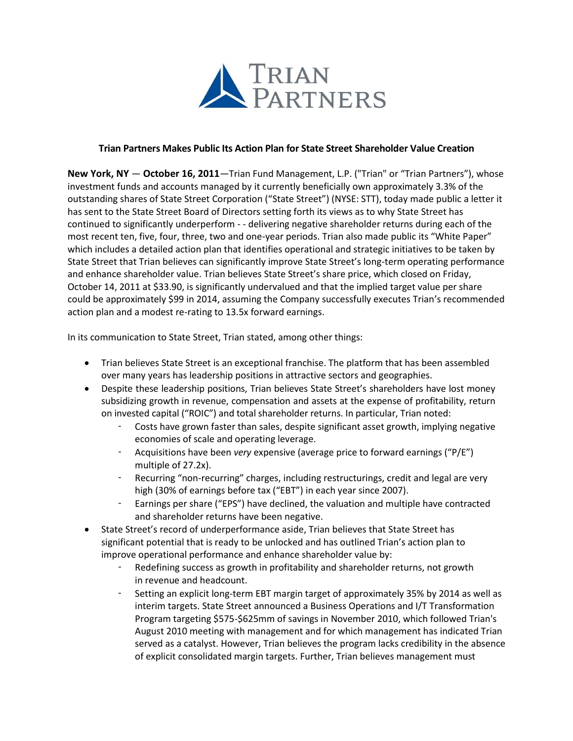

#### **Trian Partners Makes Public Its Action Plan for State Street Shareholder Value Creation**

**New York, NY** — **October 16, 2011**—Trian Fund Management, L.P. ("Trian" or "Trian Partners"), whose investment funds and accounts managed by it currently beneficially own approximately 3.3% of the outstanding shares of State Street Corporation ("State Street") (NYSE: STT), today made public a letter it has sent to the State Street Board of Directors setting forth its views as to why State Street has continued to significantly underperform - - delivering negative shareholder returns during each of the most recent ten, five, four, three, two and one-year periods. Trian also made public its "White Paper" which includes a detailed action plan that identifies operational and strategic initiatives to be taken by State Street that Trian believes can significantly improve State Street's long-term operating performance and enhance shareholder value. Trian believes State Street's share price, which closed on Friday, October 14, 2011 at \$33.90, is significantly undervalued and that the implied target value per share could be approximately \$99 in 2014, assuming the Company successfully executes Trian's recommended action plan and a modest re-rating to 13.5x forward earnings.

In its communication to State Street, Trian stated, among other things:

- Trian believes State Street is an exceptional franchise. The platform that has been assembled over many years has leadership positions in attractive sectors and geographies.
- Despite these leadership positions, Trian believes State Street's shareholders have lost money subsidizing growth in revenue, compensation and assets at the expense of profitability, return on invested capital ("ROIC") and total shareholder returns. In particular, Trian noted:
	- Costs have grown faster than sales, despite significant asset growth, implying negative economies of scale and operating leverage.
	- Acquisitions have been *very* expensive (average price to forward earnings ("P/E") multiple of 27.2x).
	- Recurring "non-recurring" charges, including restructurings, credit and legal are very high (30% of earnings before tax ("EBT") in each year since 2007).
	- Earnings per share ("EPS") have declined, the valuation and multiple have contracted and shareholder returns have been negative.
- State Street's record of underperformance aside, Trian believes that State Street has significant potential that is ready to be unlocked and has outlined Trian's action plan to improve operational performance and enhance shareholder value by:
	- Redefining success as growth in profitability and shareholder returns, not growth in revenue and headcount.
	- Setting an explicit long-term EBT margin target of approximately 35% by 2014 as well as interim targets. State Street announced a Business Operations and I/T Transformation Program targeting \$575-\$625mm of savings in November 2010, which followed Trian's August 2010 meeting with management and for which management has indicated Trian served as a catalyst. However, Trian believes the program lacks credibility in the absence of explicit consolidated margin targets. Further, Trian believes management must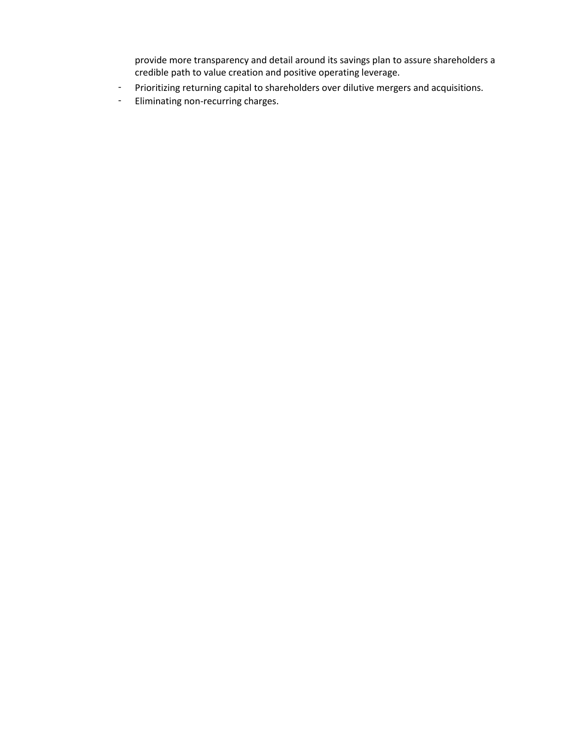provide more transparency and detail around its savings plan to assure shareholders a credible path to value creation and positive operating leverage.

- Prioritizing returning capital to shareholders over dilutive mergers and acquisitions.
- Eliminating non-recurring charges.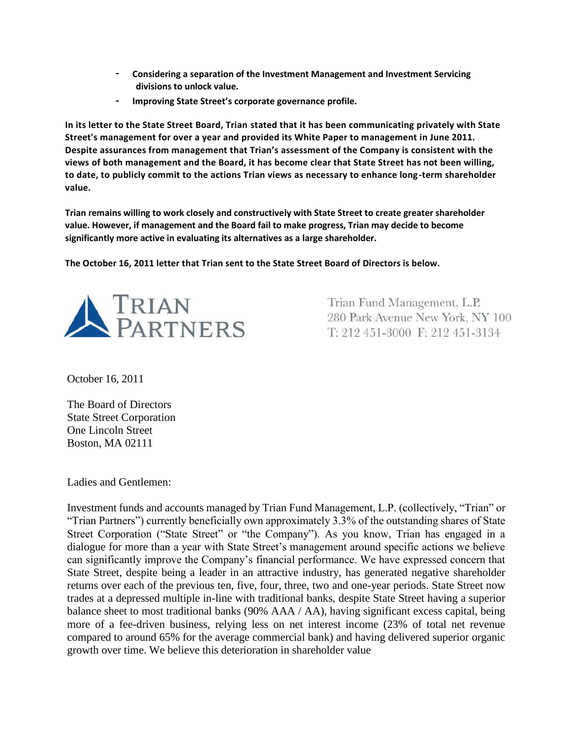- **Considering a separation of the Investment Management and Investment Servicing divisions to unlock value.**
- **Improving State Street's corporate governance profile.**

**In its letter to the State Street Board, Trian stated that it has been communicating privately with State Street's management for over a year and provided its White Paper to management in June 2011. Despite assurances from management that Trian's assessment of the Company is consistent with the views of both management and the Board, it has become clear that State Street has not been willing, to date, to publicly commit to the actions Trian views as necessary to enhance long-term shareholder value.**

**Trian remains willing to work closely and constructively with State Street to create greater shareholder value. However, if management and the Board fail to make progress, Trian may decide to become significantly more active in evaluating its alternatives as a large shareholder.**

**The October 16, 2011 letter that Trian sent to the State Street Board of Directors is below.**



Trian Fund Management, L.P. 280 Park Avenue New York, NY 100 T: 212 451-3000 F: 212 451-3134

October 16, 2011

The Board of Directors State Street Corporation One Lincoln Street Boston, MA 02111

Ladies and Gentlemen:

Investment funds and accounts managed by Trian Fund Management, L.P. (collectively, "Trian" or "Trian Partners") currently beneficially own approximately 3.3% of the outstanding shares of State Street Corporation ("State Street" or "the Company"). As you know, Trian has engaged in a dialogue for more than a year with State Street's management around specific actions we believe can significantly improve the Company's financial performance. We have expressed concern that State Street, despite being a leader in an attractive industry, has generated negative shareholder returns over each of the previous ten, five, four, three, two and one-year periods. State Street now trades at a depressed multiple in-line with traditional banks, despite State Street having a superior balance sheet to most traditional banks (90% AAA / AA), having significant excess capital, being more of a fee-driven business, relying less on net interest income (23% of total net revenue compared to around 65% for the average commercial bank) and having delivered superior organic growth over time. We believe this deterioration in shareholder value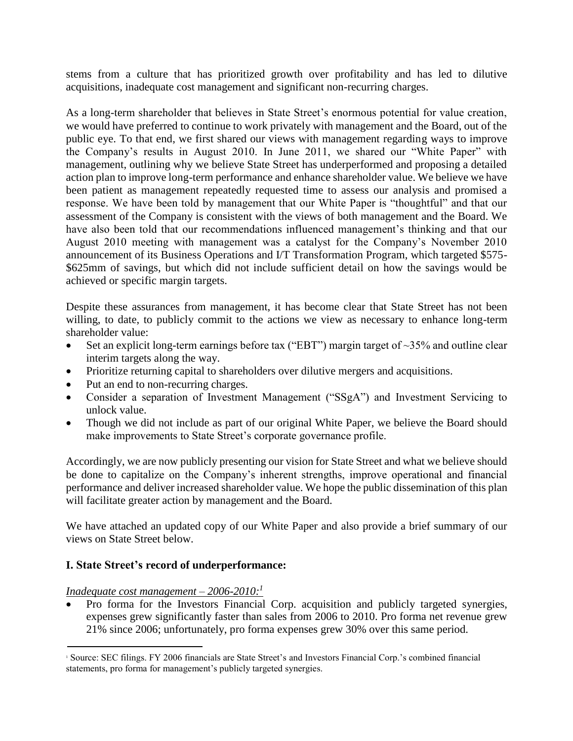stems from a culture that has prioritized growth over profitability and has led to dilutive acquisitions, inadequate cost management and significant non-recurring charges.

As a long-term shareholder that believes in State Street's enormous potential for value creation, we would have preferred to continue to work privately with management and the Board, out of the public eye. To that end, we first shared our views with management regarding ways to improve the Company's results in August 2010. In June 2011, we shared our "White Paper" with management, outlining why we believe State Street has underperformed and proposing a detailed action plan to improve long-term performance and enhance shareholder value. We believe we have been patient as management repeatedly requested time to assess our analysis and promised a response. We have been told by management that our White Paper is "thoughtful" and that our assessment of the Company is consistent with the views of both management and the Board. We have also been told that our recommendations influenced management's thinking and that our August 2010 meeting with management was a catalyst for the Company's November 2010 announcement of its Business Operations and I/T Transformation Program, which targeted \$575- \$625mm of savings, but which did not include sufficient detail on how the savings would be achieved or specific margin targets.

Despite these assurances from management, it has become clear that State Street has not been willing, to date, to publicly commit to the actions we view as necessary to enhance long-term shareholder value:

- Set an explicit long-term earnings before tax ("EBT") margin target of  $\sim$ 35% and outline clear interim targets along the way.
- Prioritize returning capital to shareholders over dilutive mergers and acquisitions.
- Put an end to non-recurring charges.
- Consider a separation of Investment Management ("SSgA") and Investment Servicing to unlock value.
- Though we did not include as part of our original White Paper, we believe the Board should make improvements to State Street's corporate governance profile.

Accordingly, we are now publicly presenting our vision for State Street and what we believe should be done to capitalize on the Company's inherent strengths, improve operational and financial performance and deliver increased shareholder value. We hope the public dissemination of this plan will facilitate greater action by management and the Board.

We have attached an updated copy of our White Paper and also provide a brief summary of our views on State Street below.

# **I. State Street's record of underperformance:**

# *Inadequate cost management – 2006-2010:<sup>1</sup>*

 Pro forma for the Investors Financial Corp. acquisition and publicly targeted synergies, expenses grew significantly faster than sales from 2006 to 2010. Pro forma net revenue grew 21% since 2006; unfortunately, pro forma expenses grew 30% over this same period.

<sup>1</sup> Source: SEC filings. FY 2006 financials are State Street's and Investors Financial Corp.'s combined financial statements, pro forma for management's publicly targeted synergies.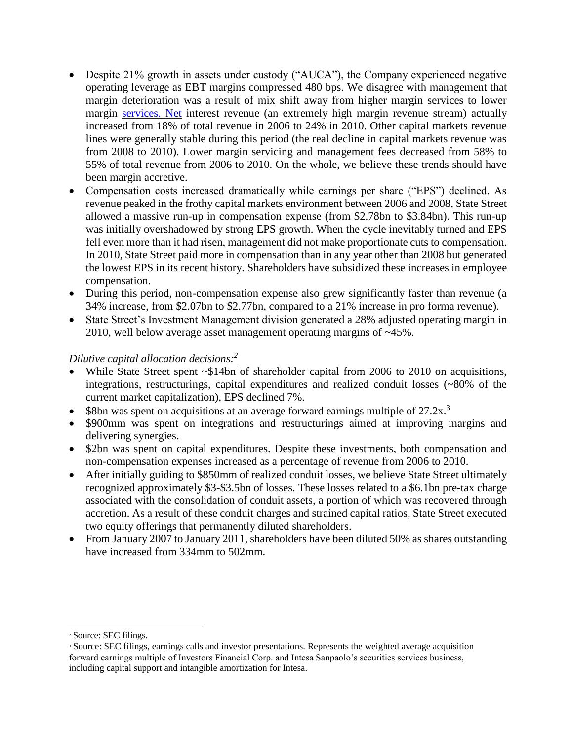- Despite 21% growth in assets under custody ("AUCA"), the Company experienced negative operating leverage as EBT margins compressed 480 bps. We disagree with management that margin deterioration was a result of mix shift away from higher margin services to lower margin [services. Net](http://services.net/) interest revenue (an extremely high margin revenue stream) actually increased from 18% of total revenue in 2006 to 24% in 2010. Other capital markets revenue lines were generally stable during this period (the real decline in capital markets revenue was from 2008 to 2010). Lower margin servicing and management fees decreased from 58% to 55% of total revenue from 2006 to 2010. On the whole, we believe these trends should have been margin accretive.
- Compensation costs increased dramatically while earnings per share ("EPS") declined. As revenue peaked in the frothy capital markets environment between 2006 and 2008, State Street allowed a massive run-up in compensation expense (from \$2.78bn to \$3.84bn). This run-up was initially overshadowed by strong EPS growth. When the cycle inevitably turned and EPS fell even more than it had risen, management did not make proportionate cuts to compensation. In 2010, State Street paid more in compensation than in any year other than 2008 but generated the lowest EPS in its recent history. Shareholders have subsidized these increases in employee compensation.
- During this period, non-compensation expense also grew significantly faster than revenue (a 34% increase, from \$2.07bn to \$2.77bn, compared to a 21% increase in pro forma revenue).
- State Street's Investment Management division generated a 28% adjusted operating margin in 2010, well below average asset management operating margins of ~45%.

# *Dilutive capital allocation decisions:<sup>2</sup>*

- While State Street spent ~\$14bn of shareholder capital from 2006 to 2010 on acquisitions, integrations, restructurings, capital expenditures and realized conduit losses (~80% of the current market capitalization), EPS declined 7%.
- \$8bn was spent on acquisitions at an average forward earnings multiple of  $27.2x$ <sup>3</sup>
- \$900mm was spent on integrations and restructurings aimed at improving margins and delivering synergies.
- \$2bn was spent on capital expenditures. Despite these investments, both compensation and non-compensation expenses increased as a percentage of revenue from 2006 to 2010.
- After initially guiding to \$850mm of realized conduit losses, we believe State Street ultimately recognized approximately \$3-\$3.5bn of losses. These losses related to a \$6.1bn pre-tax charge associated with the consolidation of conduit assets, a portion of which was recovered through accretion. As a result of these conduit charges and strained capital ratios, State Street executed two equity offerings that permanently diluted shareholders.
- From January 2007 to January 2011, shareholders have been diluted 50% as shares outstanding have increased from 334mm to 502mm.

<sup>2</sup> Source: SEC filings.

<sup>3</sup> Source: SEC filings, earnings calls and investor presentations. Represents the weighted average acquisition forward earnings multiple of Investors Financial Corp. and Intesa Sanpaolo's securities services business, including capital support and intangible amortization for Intesa.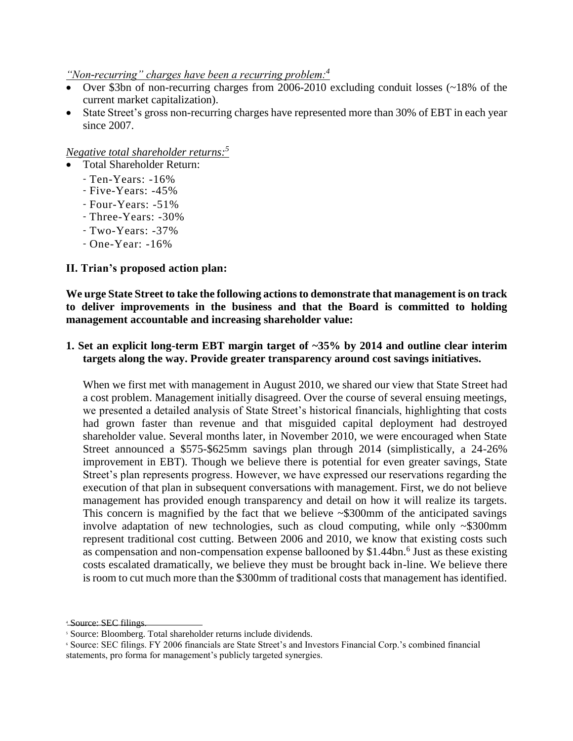*"Non-recurring" charges have been a recurring problem:<sup>4</sup>*

- Over \$3bn of non-recurring charges from 2006-2010 excluding conduit losses (~18% of the current market capitalization).
- State Street's gross non-recurring charges have represented more than 30% of EBT in each year since 2007.

### *Negative total shareholder returns:<sup>5</sup>*

- Total Shareholder Return:
- Ten-Years: -16%
- Five-Years: -45%
- Four-Years: -51%
- Three-Years: -30%
- Two-Years: -37%
- One-Year: -16%

### **II. Trian's proposed action plan:**

**We urge State Street to take the following actions to demonstrate that management is on track to deliver improvements in the business and that the Board is committed to holding management accountable and increasing shareholder value:**

### **1. Set an explicit long-term EBT margin target of ~35% by 2014 and outline clear interim targets along the way. Provide greater transparency around cost savings initiatives.**

When we first met with management in August 2010, we shared our view that State Street had a cost problem. Management initially disagreed. Over the course of several ensuing meetings, we presented a detailed analysis of State Street's historical financials, highlighting that costs had grown faster than revenue and that misguided capital deployment had destroyed shareholder value. Several months later, in November 2010, we were encouraged when State Street announced a \$575-\$625mm savings plan through 2014 (simplistically, a 24-26% improvement in EBT). Though we believe there is potential for even greater savings, State Street's plan represents progress. However, we have expressed our reservations regarding the execution of that plan in subsequent conversations with management. First, we do not believe management has provided enough transparency and detail on how it will realize its targets. This concern is magnified by the fact that we believe ~\$300mm of the anticipated savings involve adaptation of new technologies, such as cloud computing, while only ~\$300mm represent traditional cost cutting. Between 2006 and 2010, we know that existing costs such as compensation and non-compensation expense ballooned by  $$1.44$ bn.<sup>6</sup> Just as these existing costs escalated dramatically, we believe they must be brought back in-line. We believe there is room to cut much more than the \$300mm of traditional costs that management has identified.

<sup>4</sup> Source: SEC filings.

<sup>5</sup> Source: Bloomberg. Total shareholder returns include dividends.

<sup>6</sup> Source: SEC filings. FY 2006 financials are State Street's and Investors Financial Corp.'s combined financial statements, pro forma for management's publicly targeted synergies.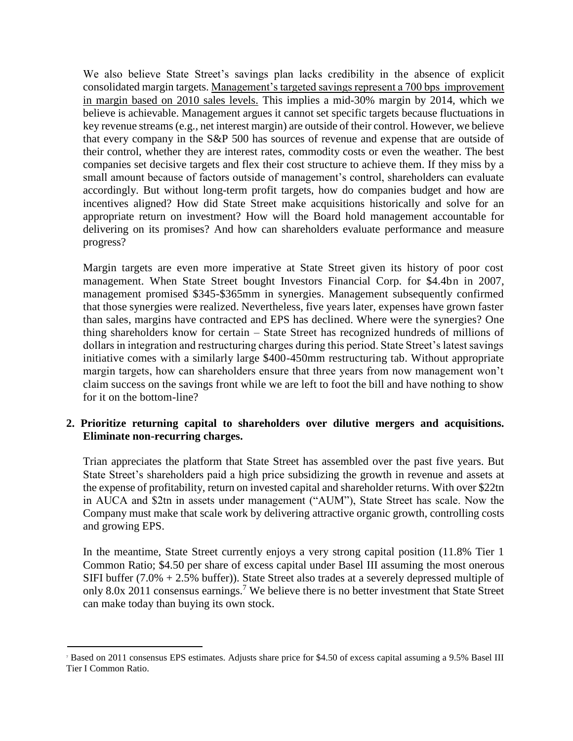We also believe State Street's savings plan lacks credibility in the absence of explicit consolidated margin targets. Management's targeted savings represent a 700 bps improvement in margin based on 2010 sales levels. This implies a mid-30% margin by 2014, which we believe is achievable. Management argues it cannot set specific targets because fluctuations in key revenue streams (e.g., net interest margin) are outside of their control. However, we believe that every company in the S&P 500 has sources of revenue and expense that are outside of their control, whether they are interest rates, commodity costs or even the weather. The best companies set decisive targets and flex their cost structure to achieve them. If they miss by a small amount because of factors outside of management's control, shareholders can evaluate accordingly. But without long-term profit targets, how do companies budget and how are incentives aligned? How did State Street make acquisitions historically and solve for an appropriate return on investment? How will the Board hold management accountable for delivering on its promises? And how can shareholders evaluate performance and measure progress?

Margin targets are even more imperative at State Street given its history of poor cost management. When State Street bought Investors Financial Corp. for \$4.4bn in 2007, management promised \$345-\$365mm in synergies. Management subsequently confirmed that those synergies were realized. Nevertheless, five years later, expenses have grown faster than sales, margins have contracted and EPS has declined. Where were the synergies? One thing shareholders know for certain – State Street has recognized hundreds of millions of dollars in integration and restructuring charges during this period. State Street's latest savings initiative comes with a similarly large \$400-450mm restructuring tab. Without appropriate margin targets, how can shareholders ensure that three years from now management won't claim success on the savings front while we are left to foot the bill and have nothing to show for it on the bottom-line?

# **2. Prioritize returning capital to shareholders over dilutive mergers and acquisitions. Eliminate non-recurring charges.**

Trian appreciates the platform that State Street has assembled over the past five years. But State Street's shareholders paid a high price subsidizing the growth in revenue and assets at the expense of profitability, return on invested capital and shareholder returns. With over \$22tn in AUCA and \$2tn in assets under management ("AUM"), State Street has scale. Now the Company must make that scale work by delivering attractive organic growth, controlling costs and growing EPS.

In the meantime, State Street currently enjoys a very strong capital position (11.8% Tier 1 Common Ratio; \$4.50 per share of excess capital under Basel III assuming the most onerous SIFI buffer (7.0% + 2.5% buffer)). State Street also trades at a severely depressed multiple of only 8.0x 2011 consensus earnings.<sup>7</sup> We believe there is no better investment that State Street can make today than buying its own stock.

<sup>7</sup> Based on 2011 consensus EPS estimates. Adjusts share price for \$4.50 of excess capital assuming a 9.5% Basel III Tier I Common Ratio.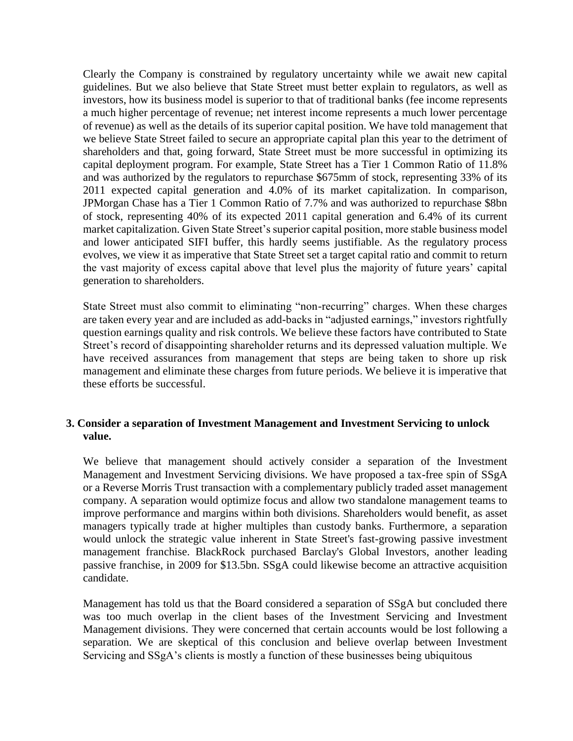Clearly the Company is constrained by regulatory uncertainty while we await new capital guidelines. But we also believe that State Street must better explain to regulators, as well as investors, how its business model is superior to that of traditional banks (fee income represents a much higher percentage of revenue; net interest income represents a much lower percentage of revenue) as well as the details of its superior capital position. We have told management that we believe State Street failed to secure an appropriate capital plan this year to the detriment of shareholders and that, going forward, State Street must be more successful in optimizing its capital deployment program. For example, State Street has a Tier 1 Common Ratio of 11.8% and was authorized by the regulators to repurchase \$675mm of stock, representing 33% of its 2011 expected capital generation and 4.0% of its market capitalization. In comparison, JPMorgan Chase has a Tier 1 Common Ratio of 7.7% and was authorized to repurchase \$8bn of stock, representing 40% of its expected 2011 capital generation and 6.4% of its current market capitalization. Given State Street's superior capital position, more stable business model and lower anticipated SIFI buffer, this hardly seems justifiable. As the regulatory process evolves, we view it as imperative that State Street set a target capital ratio and commit to return the vast majority of excess capital above that level plus the majority of future years' capital generation to shareholders.

State Street must also commit to eliminating "non-recurring" charges. When these charges are taken every year and are included as add-backs in "adjusted earnings," investors rightfully question earnings quality and risk controls. We believe these factors have contributed to State Street's record of disappointing shareholder returns and its depressed valuation multiple. We have received assurances from management that steps are being taken to shore up risk management and eliminate these charges from future periods. We believe it is imperative that these efforts be successful.

### **3. Consider a separation of Investment Management and Investment Servicing to unlock value.**

We believe that management should actively consider a separation of the Investment Management and Investment Servicing divisions. We have proposed a tax-free spin of SSgA or a Reverse Morris Trust transaction with a complementary publicly traded asset management company. A separation would optimize focus and allow two standalone management teams to improve performance and margins within both divisions. Shareholders would benefit, as asset managers typically trade at higher multiples than custody banks. Furthermore, a separation would unlock the strategic value inherent in State Street's fast-growing passive investment management franchise. BlackRock purchased Barclay's Global Investors, another leading passive franchise, in 2009 for \$13.5bn. SSgA could likewise become an attractive acquisition candidate.

Management has told us that the Board considered a separation of SSgA but concluded there was too much overlap in the client bases of the Investment Servicing and Investment Management divisions. They were concerned that certain accounts would be lost following a separation. We are skeptical of this conclusion and believe overlap between Investment Servicing and SSgA's clients is mostly a function of these businesses being ubiquitous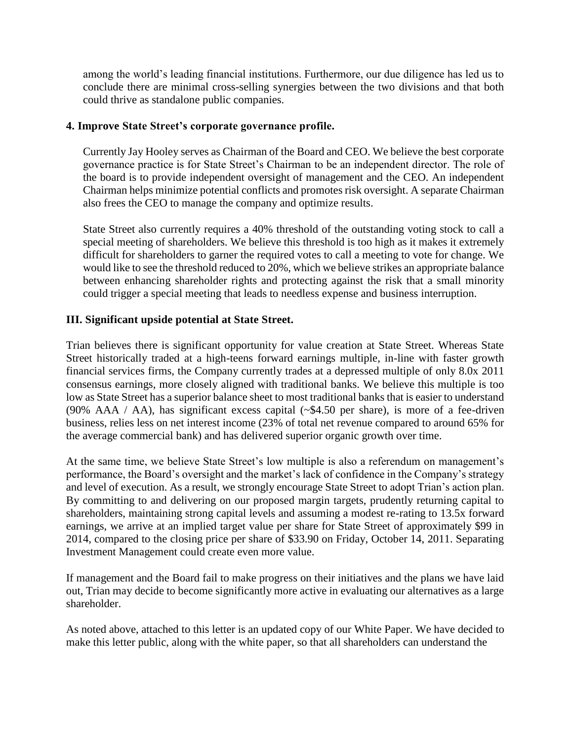among the world's leading financial institutions. Furthermore, our due diligence has led us to conclude there are minimal cross-selling synergies between the two divisions and that both could thrive as standalone public companies.

## **4. Improve State Street's corporate governance profile.**

Currently Jay Hooley serves as Chairman of the Board and CEO. We believe the best corporate governance practice is for State Street's Chairman to be an independent director. The role of the board is to provide independent oversight of management and the CEO. An independent Chairman helps minimize potential conflicts and promotes risk oversight. A separate Chairman also frees the CEO to manage the company and optimize results.

State Street also currently requires a 40% threshold of the outstanding voting stock to call a special meeting of shareholders. We believe this threshold is too high as it makes it extremely difficult for shareholders to garner the required votes to call a meeting to vote for change. We would like to see the threshold reduced to 20%, which we believe strikes an appropriate balance between enhancing shareholder rights and protecting against the risk that a small minority could trigger a special meeting that leads to needless expense and business interruption.

# **III. Significant upside potential at State Street.**

Trian believes there is significant opportunity for value creation at State Street. Whereas State Street historically traded at a high-teens forward earnings multiple, in-line with faster growth financial services firms, the Company currently trades at a depressed multiple of only 8.0x 2011 consensus earnings, more closely aligned with traditional banks. We believe this multiple is too low as State Street has a superior balance sheet to most traditional banks that is easier to understand (90% AAA / AA), has significant excess capital (~\$4.50 per share), is more of a fee-driven business, relies less on net interest income (23% of total net revenue compared to around 65% for the average commercial bank) and has delivered superior organic growth over time.

At the same time, we believe State Street's low multiple is also a referendum on management's performance, the Board's oversight and the market's lack of confidence in the Company's strategy and level of execution. As a result, we strongly encourage State Street to adopt Trian's action plan. By committing to and delivering on our proposed margin targets, prudently returning capital to shareholders, maintaining strong capital levels and assuming a modest re-rating to 13.5x forward earnings, we arrive at an implied target value per share for State Street of approximately \$99 in 2014, compared to the closing price per share of \$33.90 on Friday, October 14, 2011. Separating Investment Management could create even more value.

If management and the Board fail to make progress on their initiatives and the plans we have laid out, Trian may decide to become significantly more active in evaluating our alternatives as a large shareholder.

As noted above, attached to this letter is an updated copy of our White Paper. We have decided to make this letter public, along with the white paper, so that all shareholders can understand the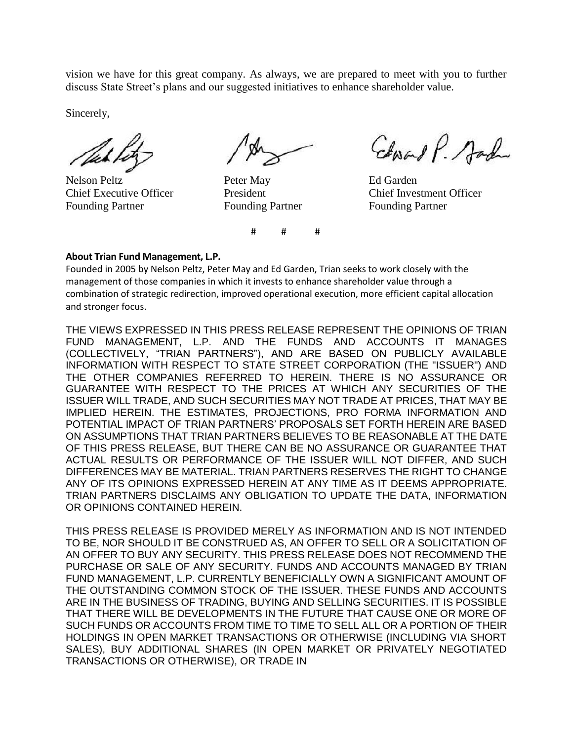vision we have for this great company. As always, we are prepared to meet with you to further discuss State Street's plans and our suggested initiatives to enhance shareholder value.

Sincerely,

Nelson Peltz **Peter May Peter May** Ed Garden Founding Partner Founding Partner Founding Partner

Edward P. Sad

Chief Executive Officer President Chief Investment Officer

#### **About Trian Fund Management, L.P.**

Founded in 2005 by Nelson Peltz, Peter May and Ed Garden, Trian seeks to work closely with the management of those companies in which it invests to enhance shareholder value through a combination of strategic redirection, improved operational execution, more efficient capital allocation and stronger focus.

# # #

THE VIEWS EXPRESSED IN THIS PRESS RELEASE REPRESENT THE OPINIONS OF TRIAN FUND MANAGEMENT, L.P. AND THE FUNDS AND ACCOUNTS IT MANAGES (COLLECTIVELY, "TRIAN PARTNERS"), AND ARE BASED ON PUBLICLY AVAILABLE INFORMATION WITH RESPECT TO STATE STREET CORPORATION (THE "ISSUER") AND THE OTHER COMPANIES REFERRED TO HEREIN. THERE IS NO ASSURANCE OR GUARANTEE WITH RESPECT TO THE PRICES AT WHICH ANY SECURITIES OF THE ISSUER WILL TRADE, AND SUCH SECURITIES MAY NOT TRADE AT PRICES, THAT MAY BE IMPLIED HEREIN. THE ESTIMATES, PROJECTIONS, PRO FORMA INFORMATION AND POTENTIAL IMPACT OF TRIAN PARTNERS' PROPOSALS SET FORTH HEREIN ARE BASED ON ASSUMPTIONS THAT TRIAN PARTNERS BELIEVES TO BE REASONABLE AT THE DATE OF THIS PRESS RELEASE, BUT THERE CAN BE NO ASSURANCE OR GUARANTEE THAT ACTUAL RESULTS OR PERFORMANCE OF THE ISSUER WILL NOT DIFFER, AND SUCH DIFFERENCES MAY BE MATERIAL. TRIAN PARTNERS RESERVES THE RIGHT TO CHANGE ANY OF ITS OPINIONS EXPRESSED HEREIN AT ANY TIME AS IT DEEMS APPROPRIATE. TRIAN PARTNERS DISCLAIMS ANY OBLIGATION TO UPDATE THE DATA, INFORMATION OR OPINIONS CONTAINED HEREIN.

THIS PRESS RELEASE IS PROVIDED MERELY AS INFORMATION AND IS NOT INTENDED TO BE, NOR SHOULD IT BE CONSTRUED AS, AN OFFER TO SELL OR A SOLICITATION OF AN OFFER TO BUY ANY SECURITY. THIS PRESS RELEASE DOES NOT RECOMMEND THE PURCHASE OR SALE OF ANY SECURITY. FUNDS AND ACCOUNTS MANAGED BY TRIAN FUND MANAGEMENT, L.P. CURRENTLY BENEFICIALLY OWN A SIGNIFICANT AMOUNT OF THE OUTSTANDING COMMON STOCK OF THE ISSUER. THESE FUNDS AND ACCOUNTS ARE IN THE BUSINESS OF TRADING, BUYING AND SELLING SECURITIES. IT IS POSSIBLE THAT THERE WILL BE DEVELOPMENTS IN THE FUTURE THAT CAUSE ONE OR MORE OF SUCH FUNDS OR ACCOUNTS FROM TIME TO TIME TO SELL ALL OR A PORTION OF THEIR HOLDINGS IN OPEN MARKET TRANSACTIONS OR OTHERWISE (INCLUDING VIA SHORT SALES), BUY ADDITIONAL SHARES (IN OPEN MARKET OR PRIVATELY NEGOTIATED TRANSACTIONS OR OTHERWISE), OR TRADE IN